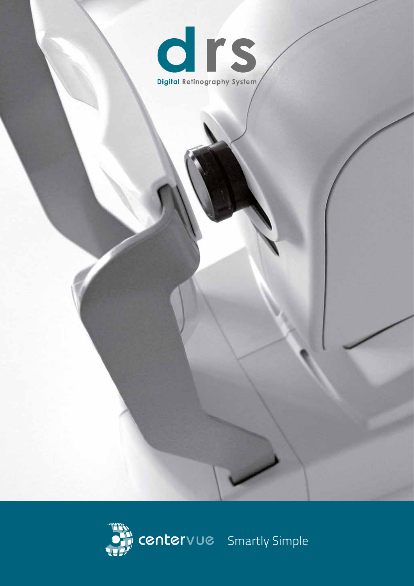

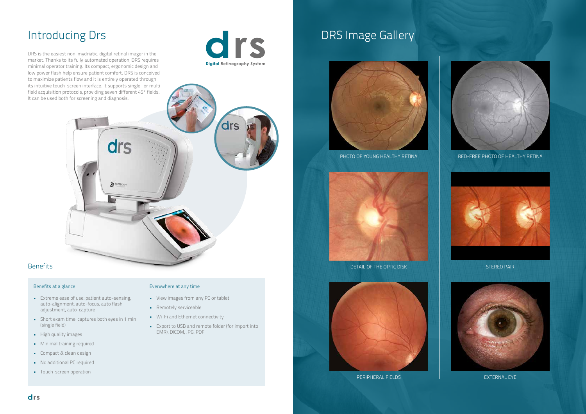# Introducing Drs

DRS is the easiest non-mydriatic, digital retinal imager in the market. Thanks to its fully automated operation, DRS requires minimal operator training. Its compact, ergonomic design and low power flash help ensure patient comfort. DRS is conceived to maximize patients flow and it is entirely operated through its intuitive touch-screen interface. It supports single -or multifield acquisition protocols, providing seven different 45° fields. It can be used both for screening and diagnosis.





# **Benefits**

# Benefits at a glance

- Extreme ease of use: patient auto-sensing, auto-alignment, auto-focus, auto flash adjustment, auto-capture
- Short exam time: captures both eyes in 1 min (single field)
- High quality images
- Minimal training required
- Compact & clean design
- No additional PC required
- Touch-screen operation

# Everywhere at any time

- View images from any PC or tablet
- Remotely serviceable
- Wi-Fi and Ethernet connectivity
- Export to USB and remote folder (for import into EMR), DICOM, JPG, PDF

# DRS Image Gallery









PERIPHERAL FIELDS **EXTERNAL EXTERNAL** 



PHOTO OF YOUNG HEALTHY RETINA RED-FREE PHOTO OF HEALTHY RETINA